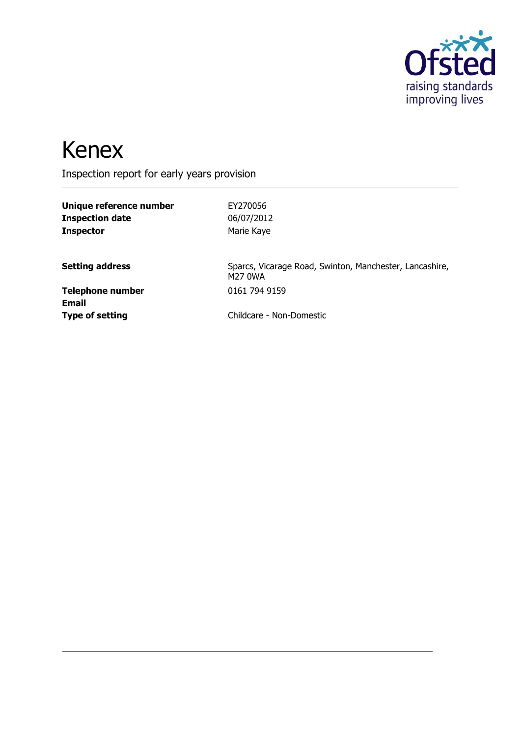

# Kenex

Inspection report for early years provision

| EY270056                                                           |
|--------------------------------------------------------------------|
| 06/07/2012                                                         |
| Marie Kaye                                                         |
| Sparcs, Vicarage Road, Swinton, Manchester, Lancashire,<br>M27 0WA |
| 0161 794 9159                                                      |
| Childcare - Non-Domestic                                           |
|                                                                    |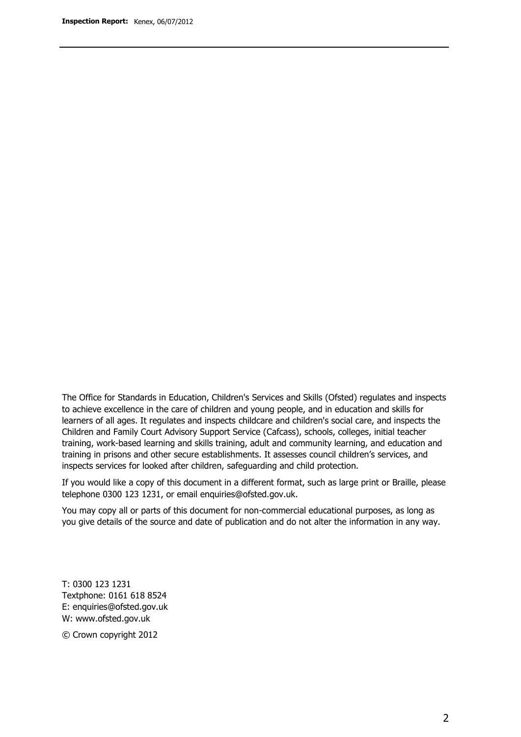The Office for Standards in Education, Children's Services and Skills (Ofsted) regulates and inspects to achieve excellence in the care of children and young people, and in education and skills for learners of all ages. It regulates and inspects childcare and children's social care, and inspects the Children and Family Court Advisory Support Service (Cafcass), schools, colleges, initial teacher training, work-based learning and skills training, adult and community learning, and education and training in prisons and other secure establishments. It assesses council children's services, and inspects services for looked after children, safeguarding and child protection.

If you would like a copy of this document in a different format, such as large print or Braille, please telephone 0300 123 1231, or email enquiries@ofsted.gov.uk.

You may copy all or parts of this document for non-commercial educational purposes, as long as you give details of the source and date of publication and do not alter the information in any way.

T: 0300 123 1231 Textphone: 0161 618 8524 E: enquiries@ofsted.gov.uk W: [www.ofsted.gov.uk](http://www.ofsted.gov.uk/)

© Crown copyright 2012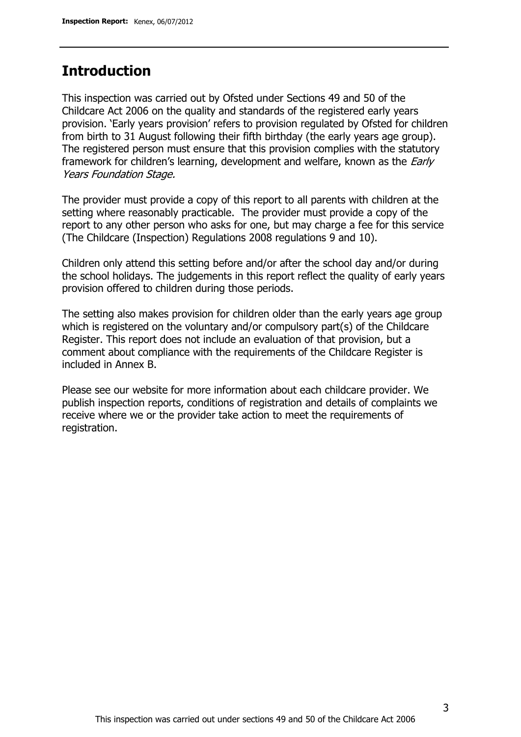### **Introduction**

This inspection was carried out by Ofsted under Sections 49 and 50 of the Childcare Act 2006 on the quality and standards of the registered early years provision. 'Early years provision' refers to provision regulated by Ofsted for children from birth to 31 August following their fifth birthday (the early years age group). The registered person must ensure that this provision complies with the statutory framework for children's learning, development and welfare, known as the *Early* Years Foundation Stage.

The provider must provide a copy of this report to all parents with children at the setting where reasonably practicable. The provider must provide a copy of the report to any other person who asks for one, but may charge a fee for this service (The Childcare (Inspection) Regulations 2008 regulations 9 and 10).

Children only attend this setting before and/or after the school day and/or during the school holidays. The judgements in this report reflect the quality of early years provision offered to children during those periods.

The setting also makes provision for children older than the early years age group which is registered on the voluntary and/or compulsory part(s) of the Childcare Register. This report does not include an evaluation of that provision, but a comment about compliance with the requirements of the Childcare Register is included in Annex B.

Please see our website for more information about each childcare provider. We publish inspection reports, conditions of registration and details of complaints we receive where we or the provider take action to meet the requirements of registration.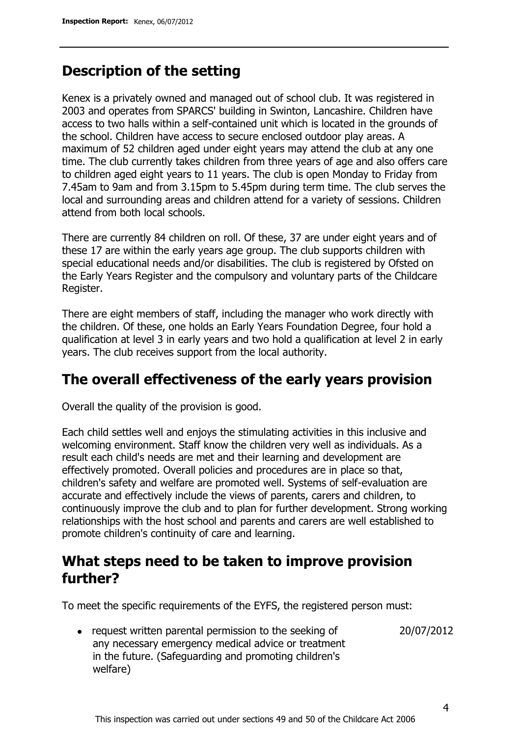### **Description of the setting**

Kenex is a privately owned and managed out of school club. It was registered in 2003 and operates from SPARCS' building in Swinton, Lancashire. Children have access to two halls within a self-contained unit which is located in the grounds of the school. Children have access to secure enclosed outdoor play areas. A maximum of 52 children aged under eight years may attend the club at any one time. The club currently takes children from three years of age and also offers care to children aged eight years to 11 years. The club is open Monday to Friday from 7.45am to 9am and from 3.15pm to 5.45pm during term time. The club serves the local and surrounding areas and children attend for a variety of sessions. Children attend from both local schools.

There are currently 84 children on roll. Of these, 37 are under eight years and of these 17 are within the early years age group. The club supports children with special educational needs and/or disabilities. The club is registered by Ofsted on the Early Years Register and the compulsory and voluntary parts of the Childcare Register.

There are eight members of staff, including the manager who work directly with the children. Of these, one holds an Early Years Foundation Degree, four hold a qualification at level 3 in early years and two hold a qualification at level 2 in early years. The club receives support from the local authority.

## **The overall effectiveness of the early years provision**

Overall the quality of the provision is good.

Each child settles well and enjoys the stimulating activities in this inclusive and welcoming environment. Staff know the children very well as individuals. As a result each child's needs are met and their learning and development are effectively promoted. Overall policies and procedures are in place so that, children's safety and welfare are promoted well. Systems of self-evaluation are accurate and effectively include the views of parents, carers and children, to continuously improve the club and to plan for further development. Strong working relationships with the host school and parents and carers are well established to promote children's continuity of care and learning.

## **What steps need to be taken to improve provision further?**

To meet the specific requirements of the EYFS, the registered person must:

20/07/2012

• request written parental permission to the seeking of any necessary emergency medical advice or treatment in the future. (Safeguarding and promoting children's welfare)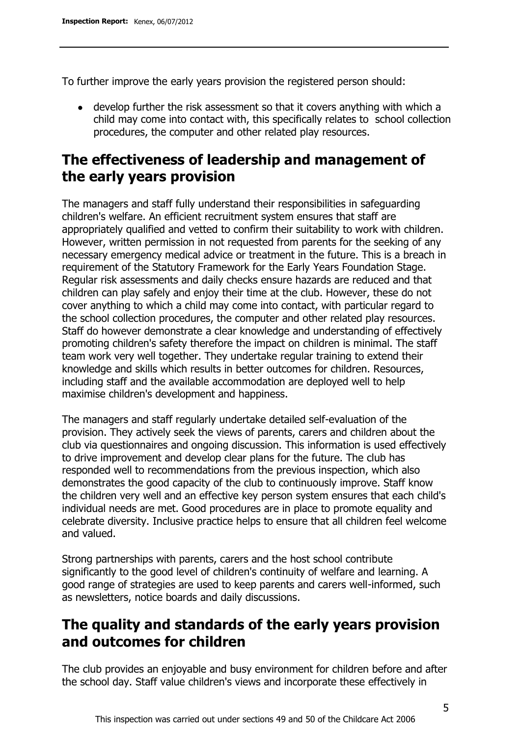To further improve the early years provision the registered person should:

develop further the risk assessment so that it covers anything with which a child may come into contact with, this specifically relates to school collection procedures, the computer and other related play resources.

# **The effectiveness of leadership and management of the early years provision**

The managers and staff fully understand their responsibilities in safeguarding children's welfare. An efficient recruitment system ensures that staff are appropriately qualified and vetted to confirm their suitability to work with children. However, written permission in not requested from parents for the seeking of any necessary emergency medical advice or treatment in the future. This is a breach in requirement of the Statutory Framework for the Early Years Foundation Stage. Regular risk assessments and daily checks ensure hazards are reduced and that children can play safely and enjoy their time at the club. However, these do not cover anything to which a child may come into contact, with particular regard to the school collection procedures, the computer and other related play resources. Staff do however demonstrate a clear knowledge and understanding of effectively promoting children's safety therefore the impact on children is minimal. The staff team work very well together. They undertake regular training to extend their knowledge and skills which results in better outcomes for children. Resources, including staff and the available accommodation are deployed well to help maximise children's development and happiness.

The managers and staff regularly undertake detailed self-evaluation of the provision. They actively seek the views of parents, carers and children about the club via questionnaires and ongoing discussion. This information is used effectively to drive improvement and develop clear plans for the future. The club has responded well to recommendations from the previous inspection, which also demonstrates the good capacity of the club to continuously improve. Staff know the children very well and an effective key person system ensures that each child's individual needs are met. Good procedures are in place to promote equality and celebrate diversity. Inclusive practice helps to ensure that all children feel welcome and valued.

Strong partnerships with parents, carers and the host school contribute significantly to the good level of children's continuity of welfare and learning. A good range of strategies are used to keep parents and carers well-informed, such as newsletters, notice boards and daily discussions.

# **The quality and standards of the early years provision and outcomes for children**

The club provides an enjoyable and busy environment for children before and after the school day. Staff value children's views and incorporate these effectively in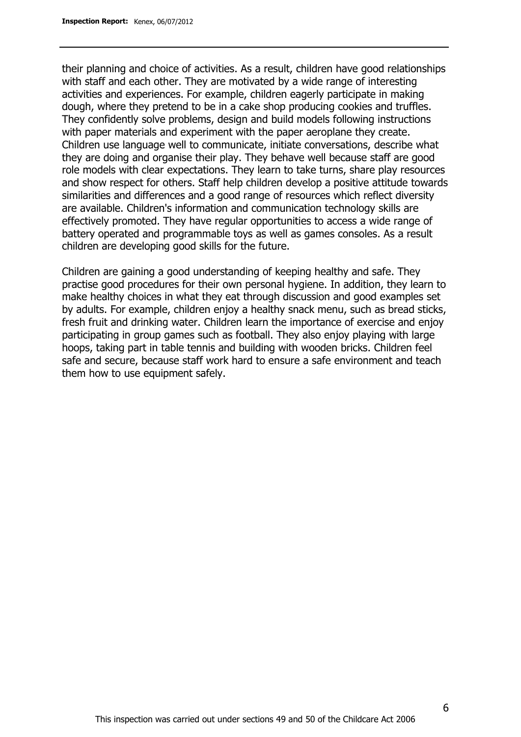their planning and choice of activities. As a result, children have good relationships with staff and each other. They are motivated by a wide range of interesting activities and experiences. For example, children eagerly participate in making dough, where they pretend to be in a cake shop producing cookies and truffles. They confidently solve problems, design and build models following instructions with paper materials and experiment with the paper aeroplane they create. Children use language well to communicate, initiate conversations, describe what they are doing and organise their play. They behave well because staff are good role models with clear expectations. They learn to take turns, share play resources and show respect for others. Staff help children develop a positive attitude towards similarities and differences and a good range of resources which reflect diversity are available. Children's information and communication technology skills are effectively promoted. They have regular opportunities to access a wide range of battery operated and programmable toys as well as games consoles. As a result children are developing good skills for the future.

Children are gaining a good understanding of keeping healthy and safe. They practise good procedures for their own personal hygiene. In addition, they learn to make healthy choices in what they eat through discussion and good examples set by adults. For example, children enjoy a healthy snack menu, such as bread sticks, fresh fruit and drinking water. Children learn the importance of exercise and enjoy participating in group games such as football. They also enjoy playing with large hoops, taking part in table tennis and building with wooden bricks. Children feel safe and secure, because staff work hard to ensure a safe environment and teach them how to use equipment safely.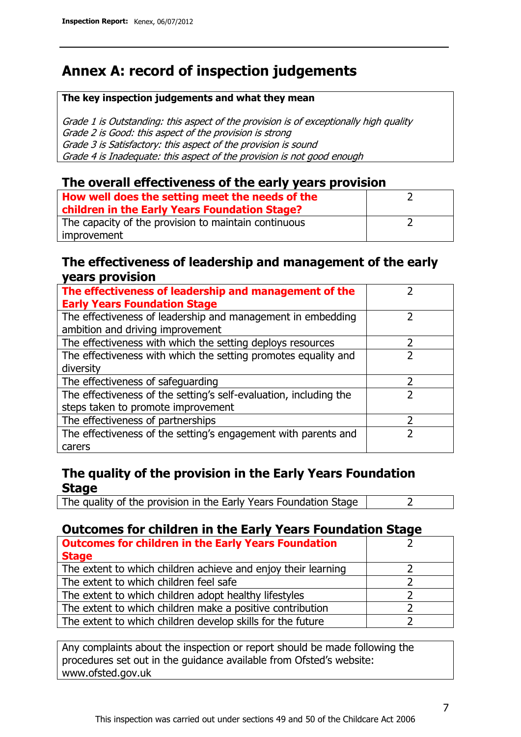# **Annex A: record of inspection judgements**

#### **The key inspection judgements and what they mean**

Grade 1 is Outstanding: this aspect of the provision is of exceptionally high quality Grade 2 is Good: this aspect of the provision is strong Grade 3 is Satisfactory: this aspect of the provision is sound Grade 4 is Inadequate: this aspect of the provision is not good enough

#### **The overall effectiveness of the early years provision**

| How well does the setting meet the needs of the<br>children in the Early Years Foundation Stage? |  |
|--------------------------------------------------------------------------------------------------|--|
| The capacity of the provision to maintain continuous                                             |  |
| improvement                                                                                      |  |

#### **The effectiveness of leadership and management of the early years provision**

| The effectiveness of leadership and management of the<br><b>Early Years Foundation Stage</b>    |   |
|-------------------------------------------------------------------------------------------------|---|
| The effectiveness of leadership and management in embedding<br>ambition and driving improvement |   |
| The effectiveness with which the setting deploys resources                                      | 2 |
| The effectiveness with which the setting promotes equality and                                  |   |
| diversity                                                                                       |   |
| The effectiveness of safeguarding                                                               | 7 |
| The effectiveness of the setting's self-evaluation, including the                               |   |
| steps taken to promote improvement                                                              |   |
| The effectiveness of partnerships                                                               | っ |
| The effectiveness of the setting's engagement with parents and                                  |   |
| carers                                                                                          |   |

### **The quality of the provision in the Early Years Foundation Stage**

The quality of the provision in the Early Years Foundation Stage | 2

### **Outcomes for children in the Early Years Foundation Stage**

| <b>Outcomes for children in the Early Years Foundation</b><br><b>Stage</b> |  |
|----------------------------------------------------------------------------|--|
| The extent to which children achieve and enjoy their learning              |  |
| The extent to which children feel safe                                     |  |
| The extent to which children adopt healthy lifestyles                      |  |
| The extent to which children make a positive contribution                  |  |
| The extent to which children develop skills for the future                 |  |

Any complaints about the inspection or report should be made following the procedures set out in the guidance available from Ofsted's website: www.ofsted.gov.uk